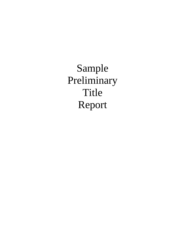Sample Preliminary Title Report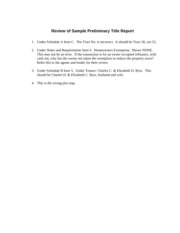# **Review of Sample Preliminary Title Report**

- 1. Under Schedule A Item C. The Tract No. is incorrect. It should be Tract 56, not 53.
- 2. Under Notes and Requirements Item 4. Homeowners Exemption: Shows NONE. This may not be an error. If the transaction is for an owner occupied refinance, with cash out, why has the owner not taken the exemption to reduce the property taxes? Refer this to the agents and lender for their review
- 3. Under Schedule B Item 5. Under Trustor: Charles C. & Elizabeth D. Byer. This should be Charles D. & Elizabeth C. Byer, husband and wife.
- 4. This is the wrong plat map.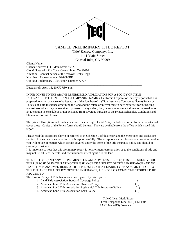

# SAMPLE PRELIMINARY TITLE REPORT

Title/ Escrow Company, Inc. 1111 Main Street Coastal Inlet, CA 99999

Clients Name: Clients Address: 1111 Main Street Ste 201 City & State with Zip Code: Coastal Inlet, CA 99999 Attention: Contact person at the escrow: Becky Repp Your No.: Escrow number 99-8888BR Our No.: Preliminary Title Report Number 77777

Dated as of: April 15, 20XX 7:30 a.m.

IN RESPONSE TO THE ABOVE REFERENCED APPLICATION FOR A POLICY OF TITLE INSURANCE, TITLE INSURANCE COMPANIES NAME, a California Corporation, hereby reports that it is prepared to issue, or cause to be issued, as of the date hereof, a (Title Insurance Companies Name) Policy or Policies of Title Insurance describing the land and the estate or interest therein hereinafter set forth, insuring against loss which may be sustained by reason of any defect, lien, or encumbrance not shown or referred to as an Exception in Schedule B or not excluded from coverage pursuant to the printed Schedules, Conditions and Stipulations of said forms.

\_\_\_\_\_\_\_\_\_\_\_\_\_\_\_\_\_\_\_\_\_\_\_\_\_\_\_\_\_\_\_\_\_\_\_\_\_\_\_\_\_\_\_\_\_\_\_\_\_\_\_\_\_\_\_\_\_\_\_\_\_\_\_\_\_\_\_\_\_\_\_\_\_\_\_\_\_\_

The printed Exceptions and Exclusions from the coverage of said Policy or Policies are set forth in the attached cover sheet. Copies of the Policy forms should be read. They are available from the office which issued this report.

Please read the exceptions shown or referred to in Schedule B of this report and the exceptions and exclusions set forth in the cover sheet attached to this report carefully. The exceptions and exclusions are meant to provide you with notice of matters which are not covered under the terms of the title insurance policy and should be carefully considered.

It is important to note that this preliminary report is not a written representation as to the conditions of title and may not list all liens, defects, and encumbrances affecting title to the land.

THIS REPORT, (AND ANY SUPPLEMENTS OR AMENDMENTS HERETO) IS ISSUED SOLELY FOR THE PURPOSE OF FACILITATING THE ISSUANCE OF A POLICY OF TITLE INSURANCE AND NO LIABILITY IS ASSUMED HEREBY. IF IT IS DESIRED THAT LIABILITY BE ASSUMED PRIOR TO THE ISSUANCE OF A POLICY OF TITLE INSURANCE, A BINDER OR COMMITMENT SHOULD BE REQUESTED.

The form of Policy of Title Insurance contemplated by this report is:

| 1. Land Title Association Standard Coverage Policy                    |  |
|-----------------------------------------------------------------------|--|
| 2. American Land Title Association Owner's Policy                     |  |
| 3. American Land Title Association Residential Title Insurance Policy |  |
| 4. American Land Title Association Loan Policy                        |  |
|                                                                       |  |

 Title Officer: Mark Taber Direct Telephone Line: (415) I-M-Title FAX Line: (415) fax-mark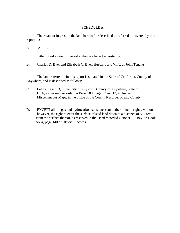# SCHEDULE A

 The estate or interest in the land hereinafter described or referred to covered by this report is:

# A. A FEE

Title to said estate or interest at the date hereof is vested in:

B. Charles D. Byer and Elizabeth C. Byer, Husband and Wife, as Joint Tenants

 The land referred to in this report is situated in the State of California, County of Anywhere, and is described as follows:

- C. Lot 17, Tract 53, in the City of Anytown, County of Anywhere, State of USA, as per map recorded in Book 789, Page 12 and 13, inclusive of Miscellaneous Maps, in the office of the County Recorder of said County.
- D. EXCEPT all oil, gas and hydrocarbon substances and other mineral rights, without however, the right to enter the surface of said land down to a distance of 500 feet from the surface thereof, as reserved in the Deed recorded October 11, 1955 in Book 5654, page 140 of Official Records.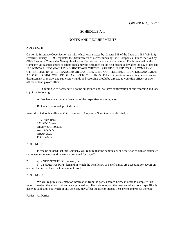# SCHEDULE A-1

## NOTES AND REQUIREMENTS

#### NOTE NO. 1:

California Insurance Code Section 12413.1 which was enacted by Chapter 598 of the Laws of 1989 (AB 512) effective January 1, 1990, regulates the disbursement of escrow funds by Title Companies. Funds received by (Title Insurance Companies Name) via wire transfer may be disbursed upon receipt. Funds received by this Company via cashiers check or tellers check may be disbursed on the next business day after the day of deposit. IF ESCROW FUNDS (INCLUDING SHORTAGE CHECKS) ARE DISBURSED TO THIS COMPANY OTHER THAN BY WIRE TRANSFER OR CASHIERS CHECK OR TELLERS CHECK, DISBURSEMENT AND/OR CLOSING WILL BE DELAYED 3 TO 7 BUSINESS DAYS. Questions concerning deposit and/or disbursement of escrow and sub-escrow funds and recording should be directed to your title officer, escrow officer or loan payoff officer.

 1. Outgoing wire transfers will not be authorized until we have confirmation of our recording and one (1) of the following:

- A. We have received confirmation of the respective incoming wire.
- B. Collection of a deposited check.

Wires directed to this office of (Title Insurance Companies Name) must be directed to:

 Title Wire Bank 123 ABC Street Anytown, CA 90505 Acct. # 55555 ABA#: 2222 FOR: 4321-5

## NOTE NO. 2:

 Please be advised that this Company will require that the beneficiary or beneficiaries sign an estimated settlement statement any time we are presented for payoff;

2. a) a NET PROCEEDS demand; or

 b) a SHORT PAYOFF demand in which the beneficiary or beneficiaries are accepting for payoff an amount that is less than the total amount owed.

#### NOTE NO. 3:

 We will require a statement of information from the parties named below in order to complete this report, based on the effect of documents, proceedings, liens, decrees, or other matters which do not specifically describe said land, but which, if any do exist, may affect the title or impose liens or encumbrances thereon.

Parties: All Parties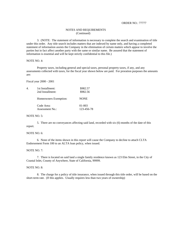#### ORDER NO.: 77777

#### NOTES AND REQUIREMENTS (Continued)

 3. (NOTE: The statement of information is necessary to complete the search and examination of title under this order. Any title search includes matters that are indexed by name only, and having a completed statement of information assists the Company in the elimination of certain matters which appear to involve the parties but in fact affect another party with the same or similar name. Be assured that the statement of information is essential and will be kept strictly confidential to this file.)

#### NOTE NO. 4:

 Property taxes, including general and special taxes, personal property taxes, if any, and any assessments collected with taxes, for the fiscal year shown below are paid. For proration purposes the amounts are:

#### Fiscal year 2000 - 2001

| 4. | 1st Installment:       | \$982.57    |
|----|------------------------|-------------|
|    | 2nd Installment:       | \$982.56    |
|    | Homeowners Exemption:  | <b>NONE</b> |
|    | Code Area:             | 01-003      |
|    | <b>Assessment No.:</b> | 123-456-78  |

#### NOTE NO. 5:

 5. There are no conveyances affecting said land, recorded with six (6) months of the date of this report.

#### NOTE NO. 6:

 6. None of the items shown in this report will cause the Company to decline to attach CLTA Endorsement Form 100 to an ALTA loan policy, when issued.

### NOTE NO. 7:

 7. There is located on said land a single family residence known as 123 Elm Street, in the City of Coastal Inlet, County of Anywhere, State of California, 99999.

#### NOTE NO. 8:

 8. The charge for a policy of title insurance, when issued through this title order, will be based on the short-term rate. (If this applies. Usually requires less than two years of ownership)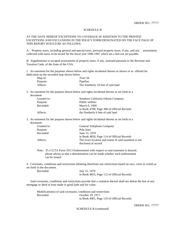#### SCHEDULE B

### AT THE DATE HEREOF EXCEPTIONS TO COVERAGE IN ADDITION TO THE PRINTED EXCEPTIONS AND EXCLUSIONS IN THE POLICY FORM DESIGNATED ON THE FACE PAGE OF THIS REPORT WOULD BE AS FOLLOWS:

A. Property taxes, including general and special taxes, personal property taxes, if any, and any assessments collected with taxes, to be levied for the fiscal year 1996-1997 which are a lien not yet payable.

B. Supplemental or escaped assessments of property taxes, if any, assessed pursuant to the Revenue and Taxation Code, of the State of the USA.

1. An easement for the purposes shown below and rights incidental thereto as shown or as offered for dedication on the recorded map shown below.

| Map of:  | Tract 56                           |
|----------|------------------------------------|
| Purpose: | Pipeline                           |
| Affects: | The Southerly 10 feet of said land |

2. An easement for the purpose shown below and rights incidental thereto as set forth in a document

| Granted to: | Southern California Edison Company         |
|-------------|--------------------------------------------|
| Purpose:    | Public utilities                           |
| Recorded:   | March 6, 1969                              |
|             | in Book 4798, Page 368 of Official Records |
| Affects:    | the Northerly 6 feet of said land          |

3. An easement for the purpose shown below and rights incidental thereto as set forth in a document

| Granted to: | General Telephone Company                             |
|-------------|-------------------------------------------------------|
| Purpose:    | Pole lines                                            |
| Recorded:   | June 15, 1970                                         |
|             | in Book 4850, Page 114 of Official Records            |
| Affects:    | The exact location and extent of said easement is not |
|             | disclosed of record                                   |

 Note: If a CLTA Form 103.3 Endorsement with respect to said easement is desired, please advise so that a determination can be made whether such endorsement can be issued.

4. Covenants, conditions and restrictions (deleting therefrom any restrictions based on race, color or creed) as set forth in the document.

| Recorded: | July 15, 1970                              |
|-----------|--------------------------------------------|
|           | in Book 4855, Page 112 of Official Records |

 Said covenants, conditions and restrictions provide that a violation thereof shall not defeat the lien of any mortgage or deed of trust made in good faith and for value.

 Modification(s) of said covenants, conditions and restrictions Recorded: October 10, 1971 in Book 4901, Page 110 of Official Records

ORDER NO.: 77777

SCHEDULE B (continued)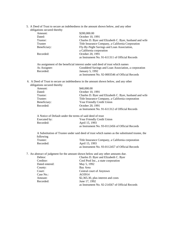5. A Deed of Trust to secure an indebtedness in the amount shown below, and any other

| obligations secured thereby |                                                         |
|-----------------------------|---------------------------------------------------------|
| Amount:                     | \$200,000.00                                            |
| Dated:                      | October 10, 1991                                        |
| Trustor:                    | Charles D. Byer and Elizabeth C. Byer, husband and wife |
| Trustee                     | Title Insurance Company, a California Corporation       |
| Beneficiary:                | Fly-By-Night Savings and Loan Association,              |
|                             | a California corporation                                |
| Recorded:                   | October 20, 1991                                        |
|                             | as Instrument No. 91-611311 of Official Records         |
|                             |                                                         |

|              | An assignment of the beneficial interest under said deed of trust which names |
|--------------|-------------------------------------------------------------------------------|
| As Assignee: | Gooddeed Savings and Loan Association, a corporation                          |
| Recorded:    | January 5, 1992                                                               |
|              | as Instrument No. 92-0003546 of Official Records                              |

 6. A Deed of Trust to secure an indebtedness in the amount shown below, and any other obligations secured thereby

|         | \$40,000.00                                                                                                         |
|---------|---------------------------------------------------------------------------------------------------------------------|
|         | October 10, 1991                                                                                                    |
|         | Charles D. Byer and Elizabeth C. Byer, husband and wife                                                             |
|         | Title Insurance Company, a California corporation                                                                   |
|         | Your Friendly Credit Union                                                                                          |
|         | October 20, 1991                                                                                                    |
|         | as Instrument No. 91-611312 of Official Records                                                                     |
|         |                                                                                                                     |
|         | Your Friendly Credit Union                                                                                          |
|         | April 15, 1993                                                                                                      |
|         | as Instrument No. 93-0112456 of Official Records                                                                    |
|         |                                                                                                                     |
| Amount: | Beneficiary:<br>Recorded:<br>A Notice of Default under the terms of said deed of trust<br>Executed by:<br>Recorded: |

 A Substitution of Trustee under said deed of trust which names as the substituted trustee, the following Trustee: Title Insurance Company, a California corporation Recorded: April 15, 1993 as Instrument No. 93-0112457 of Official Records

7. An abstract of judgment for the amount shown below and any other amounts due.

| Debtor:        | Charles D. Byer and Elizabeth C. Byer           |
|----------------|-------------------------------------------------|
| Creditor:      | Cool Pool Inc., a state corporation             |
| Dated entered: | May 5, 1992                                     |
| County:        | Bay Area                                        |
| Court:         | Central court of Anytown                        |
| Case No.:      | AO3914                                          |
| Amount:        | \$2,365.30, plus interest and costs             |
| Recorded:      | June 17, 1992                                   |
|                | as Instrument No. 92-214567 of Official Records |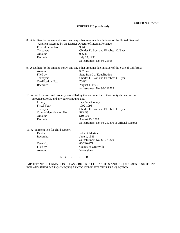#### SCHEDULE B (continued)

8. A tax lien for the amount shown and any other amounts due, in favor of the United States of America, assessed by the District Director of Internal Revenue.

| Federal Serial No.: | 93641                                 |
|---------------------|---------------------------------------|
| Taxpayer:           | Charles D. Byer and Elizabeth C. Byer |
| Amount:             | 936.40                                |
| Recorded            | July 15, 1993                         |
|                     | as Instrument No. 93-21568            |
|                     |                                       |

9. A tax lien for the amount shown and any other amounts due, in favor of the State of California. Amount: \$320.45 Filed by: State Board of Equalization<br>
Taxpayer: Charles D. Byer and Elizabe Charles D. Byer and Elizabeth C. Byer Certification No.: 73492 Recorded: August 1, 1993 as Instrument No. 93-216789

10. A lien for unsecured property taxes filed by the tax collector of the county shown, for the amount set forth, and any other amounts due.

| County:                    | Bay Area County                                 |
|----------------------------|-------------------------------------------------|
| Fiscal Year:               | 1992-1993                                       |
| Taxpayer:                  | Charles D. Byer and Elizabeth C. Byer           |
| County Identification No.: | 513456                                          |
| Amount:                    | \$193.60                                        |
| Recorded:                  | August 15, 1993                                 |
|                            | as Instrument No. 93-217890 of Official Records |

11. A judgment lien for child support.

| Debtor:   | John G. Martinez            |
|-----------|-----------------------------|
| Recorded: | June 1, 1986                |
|           | as Instrument No. 86-771320 |
| Case No.: | 86-220-971                  |
| Filed by: | County of Greenville        |
| Amount:   | None given                  |
|           |                             |

# END OF SCHEDULE B

IMPORTANT INFORMATION PLEASE REFER TO THE "NOTES AND REQUIREMENTS SECTION" FOR ANY INFORMATION NECESSARY TO COMPLETE THIS TRANSACTION